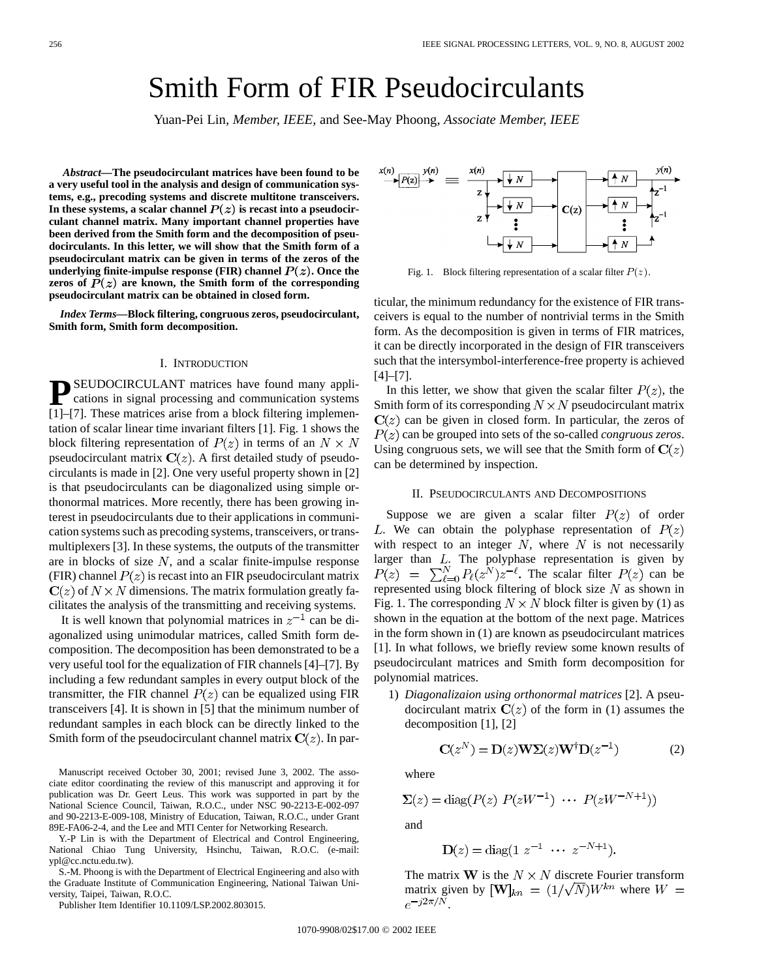# Smith Form of FIR Pseudocirculants

Yuan-Pei Lin*, Member, IEEE,* and See-May Phoong*, Associate Member, IEEE*

*Abstract—***The pseudocirculant matrices have been found to be a very useful tool in the analysis and design of communication systems, e.g., precoding systems and discrete multitone transceivers.** In these systems, a scalar channel  $P(z)$  is recast into a pseudocir**culant channel matrix. Many important channel properties have been derived from the Smith form and the decomposition of pseudocirculants. In this letter, we will show that the Smith form of a pseudocirculant matrix can be given in terms of the zeros of the** underlying finite-impulse response (FIR) channel  $P(z)$ . Once the zeros of  $P(z)$  are known, the Smith form of the corresponding **pseudocirculant matrix can be obtained in closed form.**

*Index Terms—***Block filtering, congruous zeros, pseudocirculant, Smith form, Smith form decomposition.**

#### I. INTRODUCTION

**P**SEUDOCIRCULANT matrices have found many applications in signal processing and communication systems [1]–[7]. These matrices arise from a block filtering implementation of scalar linear time invariant filters [1]. Fig. 1 shows the block filtering representation of  $P(z)$  in terms of an  $N \times N$ pseudocirculant matrix  $C(z)$ . A first detailed study of pseudocirculants is made in [2]. One very useful property shown in [2] is that pseudocirculants can be diagonalized using simple orthonormal matrices. More recently, there has been growing interest in pseudocirculants due to their applications in communication systems such as precoding systems, transceivers, or transmultiplexers [3]. In these systems, the outputs of the transmitter are in blocks of size  $N$ , and a scalar finite-impulse response (FIR) channel  $P(z)$  is recast into an FIR pseudocirculant matrix  $C(z)$  of  $N \times N$  dimensions. The matrix formulation greatly facilitates the analysis of the transmitting and receiving systems.

It is well known that polynomial matrices in  $z^{-1}$  can be diagonalized using unimodular matrices, called Smith form decomposition. The decomposition has been demonstrated to be a very useful tool for the equalization of FIR channels [4]–[7]. By including a few redundant samples in every output block of the transmitter, the FIR channel  $P(z)$  can be equalized using FIR transceivers [4]. It is shown in [5] that the minimum number of redundant samples in each block can be directly linked to the Smith form of the pseudocirculant channel matrix  $C(z)$ . In par-

Manuscript received October 30, 2001; revised June 3, 2002. The associate editor coordinating the review of this manuscript and approving it for publication was Dr. Geert Leus. This work was supported in part by the National Science Council, Taiwan, R.O.C., under NSC 90-2213-E-002-097 and 90-2213-E-009-108, Ministry of Education, Taiwan, R.O.C., under Grant 89E-FA06-2-4, and the Lee and MTI Center for Networking Research.

Y.-P Lin is with the Department of Electrical and Control Engineering, National Chiao Tung University, Hsinchu, Taiwan, R.O.C. (e-mail: ypl@cc.nctu.edu.tw).

S.-M. Phoong is with the Department of Electrical Engineering and also with the Graduate Institute of Communication Engineering, National Taiwan University, Taipei, Taiwan, R.O.C.

Publisher Item Identifier 10.1109/LSP.2002.803015.



Fig. 1. Block filtering representation of a scalar filter  $P(z)$ .

ticular, the minimum redundancy for the existence of FIR transceivers is equal to the number of nontrivial terms in the Smith form. As the decomposition is given in terms of FIR matrices, it can be directly incorporated in the design of FIR transceivers such that the intersymbol-interference-free property is achieved [4]–[7].

In this letter, we show that given the scalar filter  $P(z)$ , the Smith form of its corresponding  $N \times N$  pseudocirculant matrix  $C(z)$  can be given in closed form. In particular, the zeros of  $P(z)$  can be grouped into sets of the so-called *congruous zeros*. Using congruous sets, we will see that the Smith form of  $C(z)$ can be determined by inspection.

## II. PSEUDOCIRCULANTS AND DECOMPOSITIONS

Suppose we are given a scalar filter  $P(z)$  of order L. We can obtain the polyphase representation of  $P(z)$ with respect to an integer  $N$ , where  $N$  is not necessarily larger than  $L$ . The polyphase representation is given by The scalar filter  $P(z)$  can be represented using block filtering of block size  $N$  as shown in Fig. 1. The corresponding  $N \times N$  block filter is given by (1) as shown in the equation at the bottom of the next page. Matrices in the form shown in (1) are known as pseudocirculant matrices [1]. In what follows, we briefly review some known results of pseudocirculant matrices and Smith form decomposition for polynomial matrices.

1) *Diagonalizaion using orthonormal matrices* [2]. A pseudocirculant matrix  $C(z)$  of the form in (1) assumes the decomposition [1], [2]

$$
C(zN) = D(z)W\Sigma(z)W\daggerD(z-1)
$$
 (2)

where

 $\mathbf$ 

$$
\Sigma(z) = \text{diag}(P(z) P(zW^{-1}) \cdots P(zW^{-N+1}))
$$

and

$$
\mathbf{D}(z) = \text{diag}(1 \ z^{-1} \ \cdots \ z^{-N+1}).
$$

The matrix **W** is the  $N \times N$  discrete Fourier transform matrix given by  $[\mathbf{W}]_{kn} = (1/\sqrt{N})W^{kn}$  where  $W =$  $e^{-j2\pi/N}$ .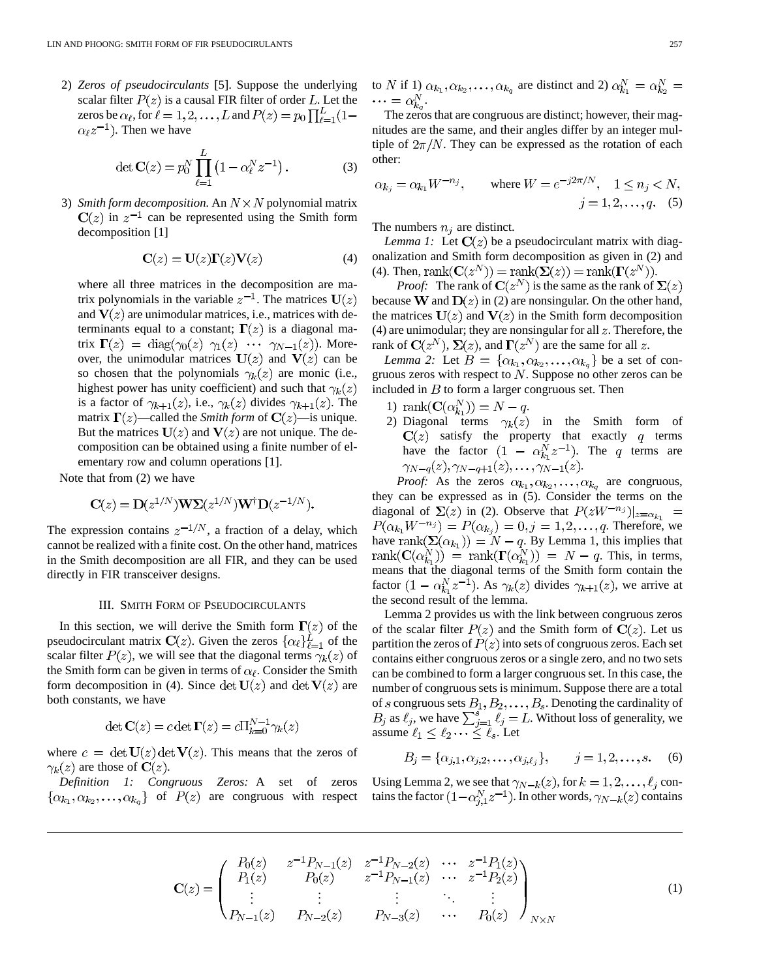2) *Zeros of pseudocirculants* [5]. Suppose the underlying scalar filter  $P(z)$  is a causal FIR filter of order L. Let the zeros be  $\alpha_{\ell}$ , for  $\ell = 1, 2, ..., L$  and  $P(z) = p_0 \prod_{\ell=1}^{L} (1 \alpha_{\ell} z^{-1}$ ). Then we have

$$
\det \mathbf{C}(z) = p_0^N \prod_{\ell=1}^L \left( 1 - \alpha_\ell^N z^{-1} \right). \tag{3}
$$

3) *Smith form decomposition.* An  $N \times N$  polynomial matrix  $C(z)$  in  $z^{-1}$  can be represented using the Smith form decomposition [1]

$$
\mathbf{C}(z) = \mathbf{U}(z)\mathbf{\Gamma}(z)\mathbf{V}(z) \tag{4}
$$

where all three matrices in the decomposition are matrix polynomials in the variable  $z^{-1}$ . The matrices  $U(z)$ and  $V(z)$  are unimodular matrices, i.e., matrices with determinants equal to a constant;  $\Gamma(z)$  is a diagonal matrix  $\mathbf{\Gamma}(z) = \text{diag}(\gamma_0(z) \gamma_1(z) \cdots \gamma_{N-1}(z))$ . Moreover, the unimodular matrices  $U(z)$  and  $V(z)$  can be so chosen that the polynomials  $\gamma_k(z)$  are monic (i.e., highest power has unity coefficient) and such that  $\gamma_k(z)$ is a factor of  $\gamma_{k+1}(z)$ , i.e.,  $\gamma_k(z)$  divides  $\gamma_{k+1}(z)$ . The matrix  $\Gamma(z)$ —called the *Smith form* of  $\Gamma(z)$ —is unique. But the matrices  $U(z)$  and  $V(z)$  are not unique. The decomposition can be obtained using a finite number of elementary row and column operations [1].

Note that from (2) we have

$$
\mathbf{C}(z) = \mathbf{D}(z^{1/N})\mathbf{W}\mathbf{\Sigma}(z^{1/N})\mathbf{W}^{\dagger}\mathbf{D}(z^{-1/N}).
$$

The expression contains  $z^{-1/N}$ , a fraction of a delay, which cannot be realized with a finite cost. On the other hand, matrices in the Smith decomposition are all FIR, and they can be used directly in FIR transceiver designs.

#### III. SMITH FORM OF PSEUDOCIRCULANTS

In this section, we will derive the Smith form  $\Gamma(z)$  of the pseudocirculant matrix  $C(z)$ . Given the zeros  $\{\alpha_\ell\}_{\ell=1}^L$  of the scalar filter  $P(z)$ , we will see that the diagonal terms  $\gamma_k(z)$  of the Smith form can be given in terms of  $\alpha_{\ell}$ . Consider the Smith form decomposition in (4). Since det  $U(z)$  and det  $V(z)$  are both constants, we have

$$
\det \mathbf{C}(z) = c \det \mathbf{\Gamma}(z) = c \Pi_{k=0}^{N-1} \gamma_k(z)
$$

where  $c = \det U(z) \det V(z)$ . This means that the zeros of  $\gamma_k(z)$  are those of  $\mathbf{C}(z)$ .

*Definition 1: Congruous Zeros:* A set of zeros  $\{\alpha_{k_1}, \alpha_{k_2}, \ldots, \alpha_{k_n}\}\$  of  $P(z)$  are congruous with respect

to N if 1) 
$$
\alpha_{k_1}, \alpha_{k_2}, \ldots, \alpha_{k_q}
$$
 are distinct and 2)  $\alpha_{k_1}^N = \alpha_{k_2}^N = \cdots = \alpha_{k_q}^N$ .

The zeros that are congruous are distinct; however, their magnitudes are the same, and their angles differ by an integer multiple of  $2\pi/N$ . They can be expressed as the rotation of each other:

$$
\alpha_{k_j} = \alpha_{k_1} W^{-n_j}
$$
, where  $W = e^{-j2\pi/N}$ ,  $1 \le n_j < N$ ,  
\n $j = 1, 2, ..., q$ . (5)

The numbers  $n_i$  are distinct.

*Lemma 1:* Let  $\mathbf{C}(z)$  be a pseudocirculant matrix with diagonalization and Smith form decomposition as given in (2) and (4). Then,  $\text{rank}(\mathbf{C}(z^N)) = \text{rank}(\mathbf{\Sigma}(z)) = \text{rank}(\mathbf{\Gamma}(z^N)).$ 

*Proof:* The rank of  $C(z^N)$  is the same as the rank of  $\Sigma(z)$ because W and  $D(z)$  in (2) are nonsingular. On the other hand, the matrices  $U(z)$  and  $V(z)$  in the Smith form decomposition (4) are unimodular; they are nonsingular for all  $z$ . Therefore, the rank of  $C(z^N)$ ,  $\Sigma(z)$ , and  $\Gamma(z^N)$  are the same for all z.

*Lemma 2:* Let  $B = {\alpha_{k_1}, \alpha_{k_2}, \dots, \alpha_{k_q}}$  be a set of congruous zeros with respect to  $N$ . Suppose no other zeros can be included in  $B$  to form a larger congruous set. Then

- 1)  $\text{rank}(\mathbf{C}(\alpha_{k_1}^N)) = N q.$
- 2) Diagonal terms  $\gamma_k(z)$  in the Smith form of satisfy the property that exactly  $q$  terms have the factor  $(1 - \alpha_k^N z^{-1})$ . The q terms are  $\gamma_{N-q}(z), \gamma_{N-q+1}(z), \ldots, \gamma_{N-1}(z).$

*Proof:* As the zeros  $\alpha_{k_1}, \alpha_{k_2}, \dots, \alpha_{k_q}$  are congruous, they can be expressed as in (5). Consider the terms on the diagonal of  $\Sigma(z)$  in (2). Observe that  $P(zW^{-n_j})|_{z=\alpha_{k_1}}$  =  $P(\alpha_{k_1}W^{-n_j}) = P(\alpha_{k_j}) = 0, j = 1, 2, ..., q$ . Therefore, we have  $\text{rank}(\Sigma(\alpha_{k_1})) = N - q$ . By Lemma 1, this implies that . This, in terms, means that the diagonal terms of the Smith form contain the factor  $(1 - \alpha_{k_1}^N z^{-1})$ . As  $\gamma_k(z)$  divides  $\gamma_{k+1}(z)$ , we arrive at the second result of the lemma.

Lemma 2 provides us with the link between congruous zeros of the scalar filter  $P(z)$  and the Smith form of  $C(z)$ . Let us partition the zeros of  $P(z)$  into sets of congruous zeros. Each set contains either congruous zeros or a single zero, and no two sets can be combined to form a larger congruous set. In this case, the number of congruous sets is minimum. Suppose there are a total of s congruous sets  $B_1, B_2, \ldots, B_s$ . Denoting the cardinality of as  $\ell_i$ , we have  $\sum_{i=1}^s \ell_i = L$ . Without loss of generality, we assume  $\ell_1 \leq \ell_2 \cdots \leq \overline{\ell}_s$ . Let

$$
B_j = \{ \alpha_{j,1}, \alpha_{j,2}, \dots, \alpha_{j,\ell_j} \}, \qquad j = 1, 2, \dots, s. \tag{6}
$$

Using Lemma 2, we see that  $\gamma_{N-k}(z)$ , for  $k = 1, 2, \ldots, \ell_j$  contains the factor  $(1-\alpha_{i,1}^N z^{-1})$ . In other words,  $\gamma_{N-k}(z)$  contains

$$
\mathbf{C}(z) = \begin{pmatrix} P_0(z) & z^{-1}P_{N-1}(z) & z^{-1}P_{N-2}(z) & \cdots & z^{-1}P_1(z) \\ P_1(z) & P_0(z) & z^{-1}P_{N-1}(z) & \cdots & z^{-1}P_2(z) \\ \vdots & \vdots & \vdots & \ddots & \vdots \\ P_{N-1}(z) & P_{N-2}(z) & P_{N-3}(z) & \cdots & P_0(z) \end{pmatrix}_{N \times N}
$$
(1)